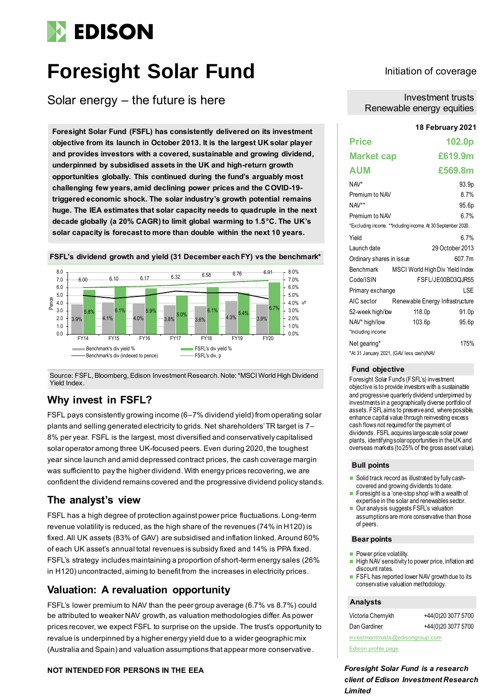# **EDISON**

# **Foresight Solar Fund**

Solar energy – the future is here

**Foresight Solar Fund (FSFL) has consistently delivered on its investment objective from its launch in October 2013. It is the largest UK solar player and provides investors with a covered, sustainable and growing dividend, underpinned by subsidised assets in the UK and high-return growth opportunities globally. This continued during the fund's arguably most challenging few years, amid declining power prices and the COVID-19 triggered economic shock. The solar industry's growth potential remains huge. The IEA estimates that solar capacity needs to quadruple in the next decade globally (a 20% CAGR) to limit global warming to 1.5°C. The UK's solar capacity is forecast to more than double within the next 10 years.**



Source: FSFL, Bloomberg, Edison Investment Research. Note:\*MSCI World High Dividend Yield Index.

### **Why invest in FSFL?**

FSFL pays consistently growing income (6–7% dividend yield) from operating solar plants and selling generated electricity to grids. Net shareholders' TR target is 7– 8% per year. FSFL is the largest, most diversified and conservatively capitalised solar operator among three UK-focused peers. Even during 2020, the toughest year since launch and amid depressed contract prices, the cash coverage margin was sufficient to pay the higher dividend. With energy prices recovering, we are confident the dividend remains covered and the progressive dividend policy stands.

### **The analyst's view**

FSFL has a high degree of protection against power price fluctuations. Long-term revenue volatility is reduced, as the high share of the revenues (74% in H120) is fixed. All UK assets (83% of GAV) are subsidised and inflation linked. Around 60% of each UK asset's annual total revenues is subsidy fixed and 14% is PPA fixed. FSFL's strategy includes maintaining a proportion of short-term energy sales (26% in H120) uncontracted, aiming to benefit from the increases in electricity prices.

### **Valuation: A revaluation opportunity**

FSFL's lower premium to NAV than the peer group average (6.7% vs 8.7%) could be attributed to weaker NAV growth, as valuation methodologies differ.As power prices recover, we expect FSFL to surprise on the upside.The trust's opportunity to revalue is underpinned by a higher energy yield due to a wider geographic mix (Australia and Spain) and valuation assumptions that appear more conservative.

### **NOT INTENDED FOR PERSONS IN THE EEA**

### Initiation of coverage

Investment trusts Renewable energy equities

#### **18 February 2021**

| <b>Price</b>             |                                                             | 102.0p            |
|--------------------------|-------------------------------------------------------------|-------------------|
| <b>Market cap</b>        |                                                             | £619.9m           |
| <b>AUM</b>               |                                                             | £569.8m           |
| NAV*                     |                                                             | 93.9p             |
| Premium to NAV           |                                                             | 8.7%              |
| NAV**                    |                                                             | 95.6p             |
| Premium to NAV           |                                                             | 6.7%              |
|                          | *Excluding income. **Induding income. At 30 September 2020. |                   |
| Yield                    |                                                             | 6.7%              |
| Launch date              |                                                             | 29 October 2013   |
| Ordinary shares in issue |                                                             | 607.7m            |
| Benchmark                | MSCI World High Div Yield Index                             |                   |
| Code/ISIN                |                                                             | FSFL/JE00BD3QJR55 |
| Primary exchange         |                                                             | LSE               |
| AIC sector               | Renewable Energy Infrastructure                             |                   |
| 52-week high/low         | 118.0p                                                      | 91.0p             |
| NAV* high/low            | 103.6p                                                      | 95.6p             |
| *Including income        |                                                             |                   |
| Net gearing*             |                                                             | 175%              |
|                          | *At 31 January 2021, (GAV less cash)/NAV                    |                   |

#### **Fund objective**

Foresight Solar Fund's (FSFL's) investment objective is to provide investors with a sustainable and progressive quarterly dividend underpinned by investments in a geographically diverse portfolio of assets. FSFL aims to preserve and, where possible, enhance capital value through reinvesting excess cash flows not required for the payment of dividends. FSFL acquires large-scale solar power plants, identifying solar opportunities in the UK and overseas markets (to 25% of the gross asset value).

#### **Bull points**

- Solid track record as illustrated by fully cashcovered and growing dividends to date.
- ◼ Foresight is a 'one-stop shop' with a wealth of expertise in the solar and renewables sector.
- Our analysis suggests FSFL's valuation assumptions are more conservative than those of peers.

#### **Bear points**

- Power price volatility.
- High NAV sensitivity to power price, inflation and discount rates.
- FSFL has reported lower NAV growth due to its conservative valuation methodology.

#### **Analysts**

| Victoria Chernykh                | +44(0)20 3077 5700 |
|----------------------------------|--------------------|
| Dan Gardiner                     | +44(0)20 3077 5700 |
| investmenttrusts@edisongroup.com |                    |

[Edison profile page](https://www.edisongroup.com/company/foresight-solar)

*Foresight Solar Fund is a research client of Edison Investment Research Limited*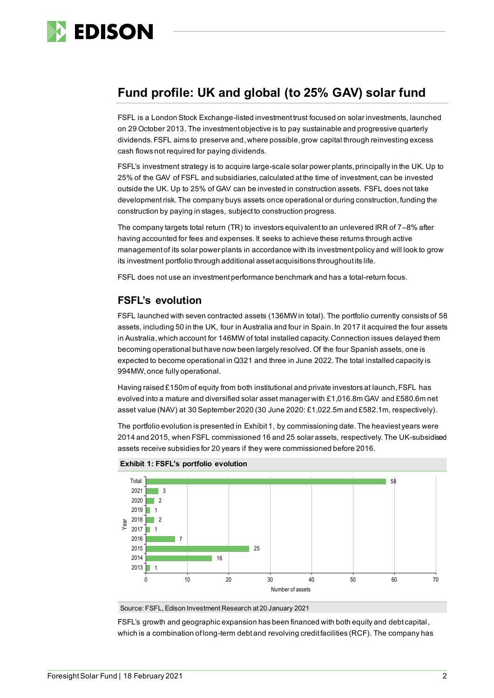

### **Fund profile: UK and global (to 25% GAV) solar fund**

FSFL is a London Stock Exchange-listed investment trust focused on solar investments, launched on 29 October 2013. The investment objective is to pay sustainable and progressive quarterly dividends. FSFL aims to preserve and,where possible, grow capital through reinvesting excess cash flows not required for paying dividends.

FSFL's investment strategy is to acquire large-scale solar power plants, principally in the UK. Up to 25% of the GAV of FSFL and subsidiaries, calculated at the time of investment, can be invested outside the UK. Up to 25% of GAV can be invested in construction assets. FSFL does not take development risk. The company buys assets once operational or during construction, funding the construction by paying in stages, subject to construction progress.

The company targets total return (TR) to investors equivalent to an unlevered IRR of 7–8% after having accounted for fees and expenses. It seeks to achieve these returns through active management of its solar power plants in accordance with its investment policy and will look to grow its investment portfolio through additional asset acquisitions throughout its life.

FSFL does not use an investment performance benchmark and has a total-return focus.

### **FSFL's evolution**

FSFL launched with seven contracted assets (136MW in total). The portfolio currently consists of 58 assets, including 50 in the UK, four in Australia and four in Spain. In 2017 it acquired the four assets in Australia, which account for 146MW of total installed capacity. Connection issues delayed them becoming operational but have now been largely resolved. Of the four Spanish assets, one is expected to become operational in Q321 and three in June 2022. The total installed capacity is 994MW, once fully operational.

Having raised £150m of equity from both institutional and private investors at launch, FSFL has evolved into a mature and diversified solar asset manager with £1,016.8m GAV and £580.6m net asset value (NAV) at 30 September 2020 (30 June 2020: £1,022.5m and £582.1m, respectively).

The portfolio evolution is presented in Exhibit 1, by commissioning date. The heaviest years were 2014 and 2015, when FSFL commissioned 16 and 25 solar assets, respectively. The UK-subsidised assets receive subsidies for 20 years if they were commissioned before 2016.





Source: FSFL, Edison Investment Research at 20 January 2021

FSFL's growth and geographic expansion has been financed with both equity and debt capital, which is a combination of long-term debt and revolving credit facilities (RCF). The company has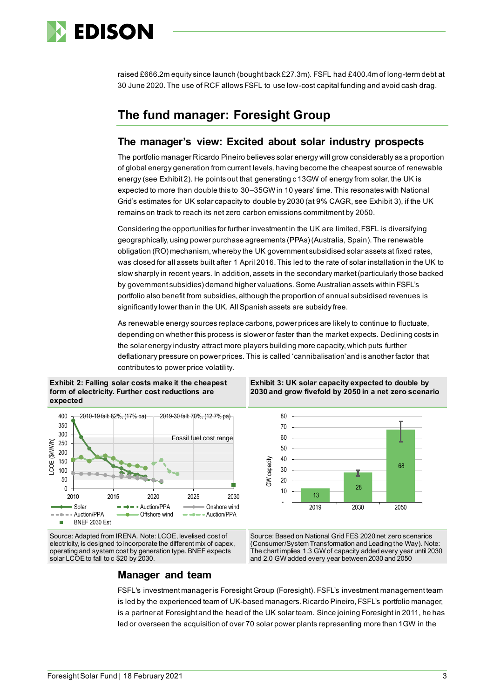

raised £666.2m equity since launch (bought back £27.3m). FSFL had £400.4m of long-term debt at 30 June 2020. The use of RCF allows FSFL to use low-cost capital funding and avoid cash drag.

### **The fund manager: Foresight Group**

### **The manager's view: Excited about solar industry prospects**

The portfolio manager Ricardo Pineiro believes solar energy will grow considerably as a proportion of global energy generation from current levels, having become the cheapest source of renewable energy (see Exhibit 2). He points out that generating c 13GW of energy from solar, the UK is expected to more than double this to 30–35GWin 10 years' time. This resonates with National Grid's estimates for UK solar capacity to double by 2030 (at 9% CAGR, see Exhibit 3), if the UK remains on track to reach its net zero carbon emissions commitment by 2050.

Considering the opportunities for further investment in the UK are limited, FSFL is diversifying geographically, using power purchase agreements (PPAs) (Australia, Spain). The renewable obligation (RO) mechanism, whereby the UK government subsidised solar assets at fixed rates, was closed for all assets built after 1 April 2016. This led to the rate of solar installation in the UK to slow sharply in recent years. In addition, assets in the secondary market (particularly those backed by government subsidies) demand higher valuations. Some Australian assets within FSFL's portfolio also benefit from subsidies, although the proportion of annual subsidised revenues is significantly lower than in the UK. All Spanish assets are subsidy free.

As renewable energy sources replace carbons, power prices are likely to continue to fluctuate, depending on whether this process is slower or faster than the market expects. Declining costs in the solar energy industry attract more players building more capacity, which puts further deflationary pressure on power prices. This is called 'cannibalisation'and is another factor that contributes to power price volatility.

**Exhibit 2: Falling solar costs make it the cheapest form of electricity. Further cost reductions are expected**



**Exhibit 3: UK solar capacity expected to double by 2030 and grow fivefold by 2050 in a net zero scenario**



Source: Adapted from IRENA. Note: LCOE, levelised cost of electricity, is designed to incorporate the different mix of capex, operating and system cost by generation type. BNEF expects solar LCOE to fall to c \$20 by 2030.

Source: Based on National Grid FES 2020 net zero scenarios (Consumer/System Transformation and Leading the Way). Note: The chart implies 1.3 GW of capacity added every year until 2030 and 2.0 GW added every year between 2030 and 2050

### **Manager and team**

FSFL's investment manager is Foresight Group (Foresight). FSFL's investment management team is led by the experienced team of UK-based managers. Ricardo Pineiro, FSFL's portfolio manager, is a partner at Foresight and the head of the UK solar team. Since joining Foresight in 2011, he has led or overseen the acquisition of over 70 solar power plants representing more than 1GW in the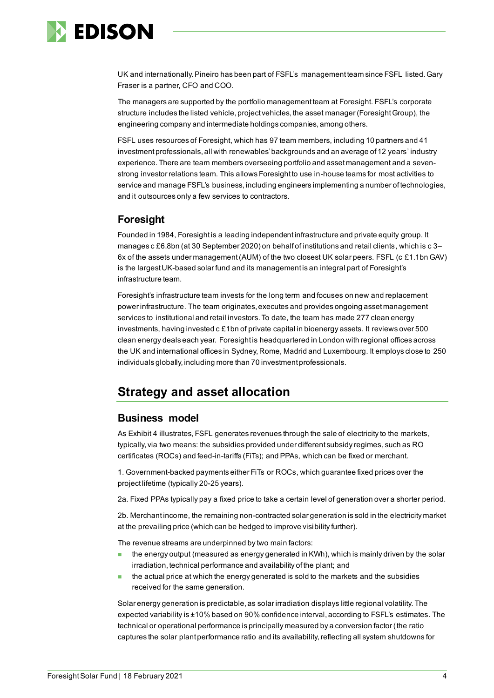

UK and internationally. Pineiro has been part of FSFL's management team since FSFL listed. Gary Fraser is a partner, CFO and COO.

The managers are supported by the portfolio management team at Foresight. FSFL's corporate structure includes the listed vehicle, project vehicles, the asset manager (Foresight Group), the engineering company and intermediate holdings companies, among others.

FSFL uses resources of Foresight, which has 97 team members, including 10 partners and 41 investment professionals, all with renewables' backgrounds and an average of 12 years' industry experience. There are team members overseeing portfolio and asset management and a sevenstrong investor relations team. This allows Foresight to use in-house teams for most activities to service and manage FSFL's business, including engineers implementing a number of technologies, and it outsources only a few services to contractors.

### **Foresight**

Founded in 1984, Foresight is a leading independent infrastructure and private equity group. It manages c £6.8bn (at 30 September 2020) on behalf of institutions and retail clients, which is c 3– 6x of the assets under management (AUM) of the two closest UK solar peers. FSFL (c £1.1bn GAV) is the largest UK-based solar fund and its management is an integral part of Foresight's infrastructure team.

Foresight's infrastructure team invests for the long term and focuses on new and replacement power infrastructure. The team originates, executes and provides ongoing asset management services to institutional and retail investors. To date, the team has made 277 clean energy investments, having invested c £1bn of private capital in bioenergy assets. It reviews over 500 clean energy deals each year. Foresight is headquartered in London with regional offices across the UK and international offices in Sydney, Rome, Madrid and Luxembourg. It employs close to 250 individuals globally, including more than 70 investment professionals.

### **Strategy and asset allocation**

### **Business model**

As Exhibit 4 illustrates, FSFL generates revenues through the sale of electricity to the markets, typically, via two means: the subsidies provided under different subsidy regimes, such as RO certificates (ROCs) and feed-in-tariffs (FiTs); and PPAs, which can be fixed or merchant.

1. Government-backed payments either FiTs or ROCs, which guarantee fixed prices over the project lifetime (typically 20-25 years).

2a. Fixed PPAs typically pay a fixed price to take a certain level of generation over a shorter period.

2b. Merchant income, the remaining non-contracted solar generation is sold in the electricity market at the prevailing price (which can be hedged to improve visibility further).

The revenue streams are underpinned by two main factors:

- the energy output (measured as energy generated in KWh), which is mainly driven by the solar irradiation, technical performance and availability of the plant; and
- the actual price at which the energy generated is sold to the markets and the subsidies received for the same generation.

Solar energy generation is predictable, as solar irradiation displays little regional volatility. The expected variability is ±10% based on 90% confidence interval, according to FSFL's estimates. The technical or operational performance is principally measured by a conversion factor (the ratio captures the solar plant performance ratio and its availability, reflecting all system shutdowns for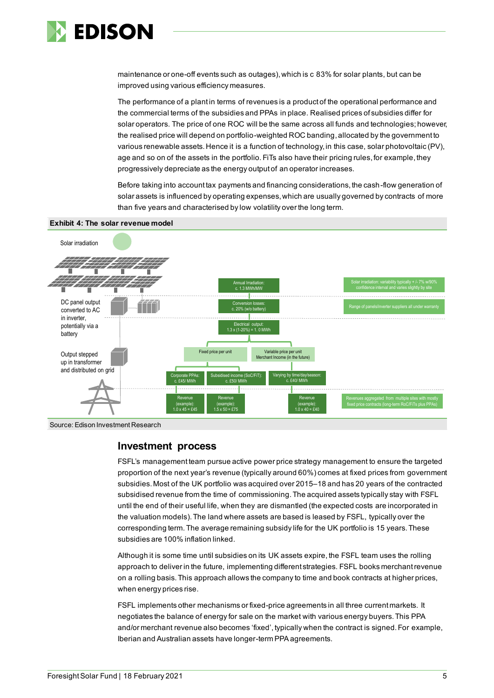

maintenance or one-off events such as outages), which is c 83% for solar plants, but can be improved using various efficiency measures.

The performance of a plant in terms of revenues is a product of the operational performance and the commercial terms of the subsidies and PPAs in place. Realised prices of subsidies differ for solar operators. The price of one ROC will be the same across all funds and technologies; however, the realised price will depend on portfolio-weighted ROC banding, allocated by the government to various renewable assets. Hence it is a function of technology, in this case, solar photovoltaic (PV), age and so on of the assets in the portfolio. FiTs also have their pricing rules, for example, they progressively depreciate as the energy output of an operator increases.

Before taking into account tax payments and financing considerations, the cash-flow generation of solar assets is influenced by operating expenses, which are usually governed by contracts of more than five years and characterised by low volatility over the long term.



#### **Exhibit 4: The solar revenue model**

Source: Edison Investment Research

### **Investment process**

FSFL's management team pursue active power price strategy management to ensure the targeted proportion of the next year's revenue (typically around 60%) comes at fixed prices from government subsidies.Most of the UK portfolio was acquired over 2015–18 and has 20 years of the contracted subsidised revenue from the time of commissioning. The acquired assets typically stay with FSFL until the end of their useful life, when they are dismantled (the expected costs are incorporated in the valuation models). The land where assets are based is leased by FSFL, typically over the corresponding term. The average remaining subsidy life for the UK portfolio is 15 years. These subsidies are 100% inflation linked.

Although it is some time until subsidies on its UK assets expire, the FSFL team uses the rolling approach to deliver in the future, implementing different strategies. FSFL books merchant revenue on a rolling basis. This approach allows the company to time and book contracts at higher prices, when energy prices rise.

FSFL implements other mechanisms or fixed-price agreements in all three current markets. It negotiates the balance of energy for sale on the market with various energy buyers. This PPA and/or merchant revenue also becomes 'fixed', typically when the contract is signed. For example, Iberian and Australian assets have longer-term PPA agreements.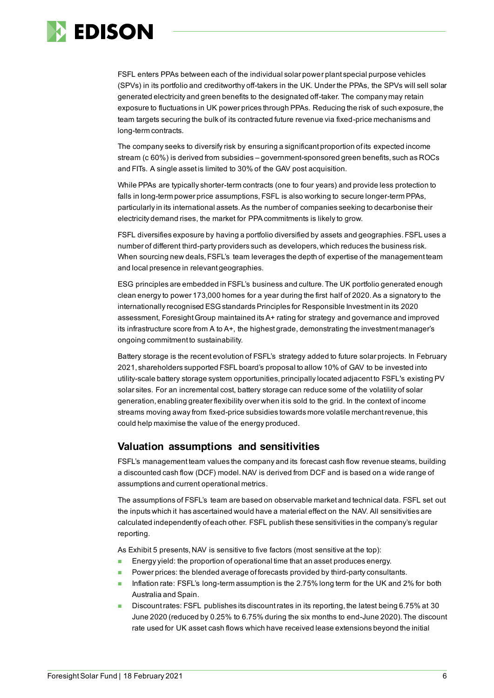

FSFL enters PPAs between each of the individual solar power plant special purpose vehicles (SPVs) in its portfolio and creditworthy off-takers in the UK. Under the PPAs, the SPVs will sell solar generated electricity and green benefits to the designated off-taker. The company may retain exposure to fluctuations in UK power prices through PPAs. Reducing the risk of such exposure, the team targets securing the bulk of its contracted future revenue via fixed-price mechanisms and long-term contracts.

The company seeks to diversify risk by ensuring a significant proportion of its expected income stream (c 60%) is derived from subsidies – government-sponsored green benefits, such as ROCs and FITs. A single asset is limited to 30% of the GAV post acquisition.

While PPAs are typically shorter-term contracts (one to four years) and provide less protection to falls in long-term power price assumptions, FSFL is also working to secure longer-term PPAs, particularly in its international assets. As the number of companies seeking to decarbonise their electricity demand rises, the market for PPA commitments is likely to grow.

FSFL diversifies exposure by having a portfolio diversified by assets and geographies. FSFL uses a number of different third-party providers such as developers, which reduces the business risk. When sourcing new deals, FSFL's team leverages the depth of expertise of the management team and local presence in relevant geographies.

ESG principles are embedded in FSFL's business and culture. The UK portfolio generated enough clean energy to power 173,000 homes for a year during the first half of 2020. As a signatory to the internationally recognised ESG standards Principles for Responsible Investment in its 2020 assessment, Foresight Group maintained its A+ rating for strategy and governance and improved its infrastructure score from A to A+, the highest grade, demonstrating the investment manager's ongoing commitment to sustainability.

Battery storage is the recent evolution of FSFL's strategy added to future solar projects. In February 2021, shareholders supported FSFL board's proposal to allow 10% of GAV to be invested into utility-scale battery storage system opportunities, principally located adjacent to FSFL's existing PV solar sites. For an incremental cost, battery storage can reduce some of the volatility of solar generation, enabling greater flexibility over when it is sold to the grid. In the context of income streams moving away from fixed-price subsidies towards more volatile merchant revenue, this could help maximise the value of the energy produced.

### **Valuation assumptions and sensitivities**

FSFL's management team values the company and its forecast cash flow revenue steams, building a discounted cash flow (DCF) model. NAV is derived from DCF and is based on a wide range of assumptions and current operational metrics.

The assumptions of FSFL's team are based on observable market and technical data. FSFL set out the inputs which it has ascertained would have a material effect on the NAV. All sensitivities are calculated independently of each other. FSFL publish these sensitivities in the company's regular reporting.

As Exhibit 5 presents, NAV is sensitive to five factors (most sensitive at the top):

- Energy yield: the proportion of operational time that an asset produces energy.
- Power prices: the blended average of forecasts provided by third-party consultants.
- Inflation rate: FSFL's long-term assumption is the 2.75% long term for the UK and 2% for both Australia and Spain.
- Discount rates: FSFL publishes its discount rates in its reporting, the latest being 6.75% at 30 June 2020 (reduced by 0.25% to 6.75% during the six months to end-June 2020). The discount rate used for UK asset cash flows which have received lease extensions beyond the initial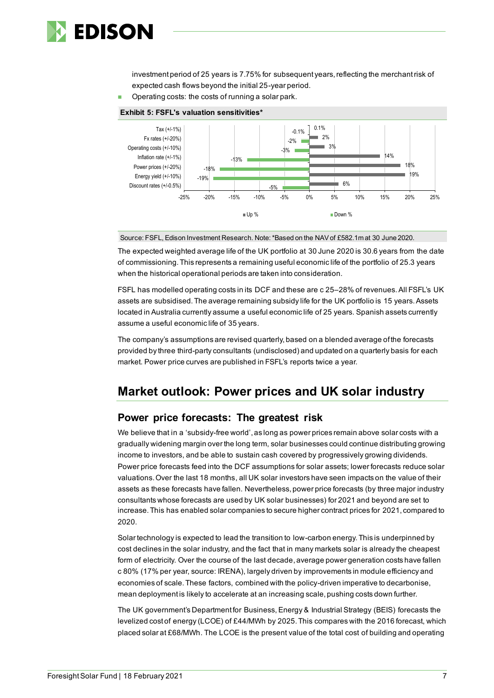

investment period of 25 years is 7.75% for subsequent years, reflecting the merchant risk of expected cash flows beyond the initial 25-year period.

Operating costs: the costs of running a solar park.



### **Exhibit 5: FSFL's valuation sensitivities\***

Source: FSFL, Edison Investment Research. Note: \*Based on the NAV of £582.1m at 30 June 2020.

The expected weighted average life of the UK portfolio at 30 June 2020 is 30.6 years from the date of commissioning. This represents a remaining useful economic life of the portfolio of 25.3 years when the historical operational periods are taken into consideration.

FSFL has modelled operating costs in its DCF and these are c 25–28% of revenues. All FSFL's UK assets are subsidised. The average remaining subsidy life for the UK portfolio is 15 years. Assets located in Australia currently assume a useful economic life of 25 years. Spanish assets currently assume a useful economic life of 35 years.

The company's assumptions are revised quarterly, based on a blended average of the forecasts provided by three third-party consultants (undisclosed) and updated on a quarterly basis for each market. Power price curves are published in FSFL's reports twice a year.

### **Market outlook: Power prices and UK solar industry**

### **Power price forecasts: The greatest risk**

We believe that in a 'subsidy-free world', as long as power prices remain above solar costs with a gradually widening margin over the long term, solar businesses could continue distributing growing income to investors, and be able to sustain cash covered by progressively growing dividends. Power price forecasts feed into the DCF assumptions for solar assets; lower forecasts reduce solar valuations. Over the last 18 months, all UK solar investors have seen impacts on the value of their assets as these forecasts have fallen. Nevertheless, power price forecasts (by three major industry consultants whose forecasts are used by UK solar businesses) for 2021 and beyond are set to increase. This has enabled solar companies to secure higher contract prices for 2021, compared to 2020.

Solar technology is expected to lead the transition to low-carbon energy. This is underpinned by cost declines in the solar industry, and the fact that in many markets solar is already the cheapest form of electricity. Over the course of the last decade, average power generation costs have fallen c 80% (17% per year, source: IRENA), largely driven by improvements in module efficiency and economies of scale. These factors, combined with the policy-driven imperative to decarbonise, mean deployment is likely to accelerate at an increasing scale, pushing costs down further.

The UK government's Department for Business, Energy & Industrial Strategy (BEIS) forecasts the levelized cost of energy (LCOE) of £44/MWh by 2025. This compares with the 2016 forecast, which placed solar at £68/MWh. The LCOE is the present value of the total cost of building and operating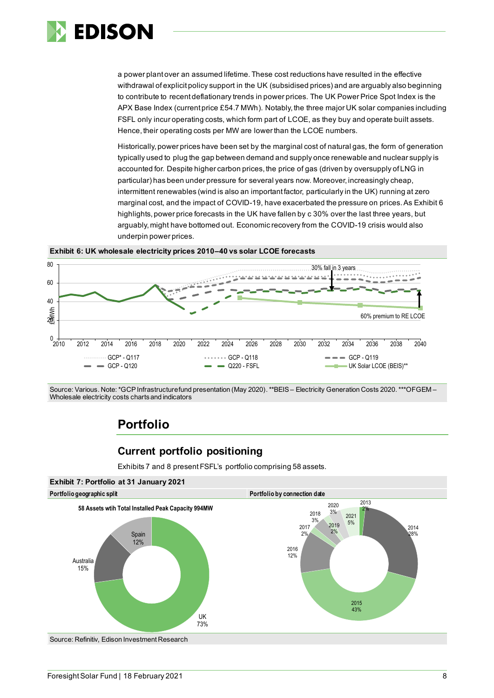

a power plant over an assumed lifetime. These cost reductions have resulted in the effective withdrawal of explicit policy support in the UK (subsidised prices) and are arguably also beginning to contribute to recent deflationary trends in power prices. The UK Power Price Spot Index is the APX Base Index (current price £54.7 MWh). Notably, the three major UK solar companies including FSFL only incur operating costs, which form part of LCOE, as they buy and operate built assets. Hence, their operating costs per MW are lower than the LCOE numbers.

Historically,power prices have been set by the marginal cost of natural gas, the form of generation typically used to plug the gap between demand and supply once renewable and nuclear supply is accounted for. Despite higher carbon prices, the price of gas (driven by oversupply of LNG in particular) has been under pressure for several years now. Moreover, increasingly cheap, intermittent renewables (wind is also an important factor, particularly in the UK) running at zero marginal cost, and the impact of COVID-19, have exacerbated the pressure on prices. As Exhibit 6 highlights, power price forecasts in the UK have fallen by c 30% over the last three years, but arguably, might have bottomed out. Economic recovery from the COVID-19 crisis would also underpin power prices.





Source: Various. Note: \*GCP Infrastructure fund presentation (May 2020).\*\*BEIS – Electricity Generation Costs 2020.\*\*\*OFGEM – Wholesale electricity costs charts and indicators

### **Portfolio**

### **Current portfolio positioning**

Exhibits 7 and 8 present FSFL's portfolio comprising 58 assets.



Source: Refinitiv, Edison Investment Research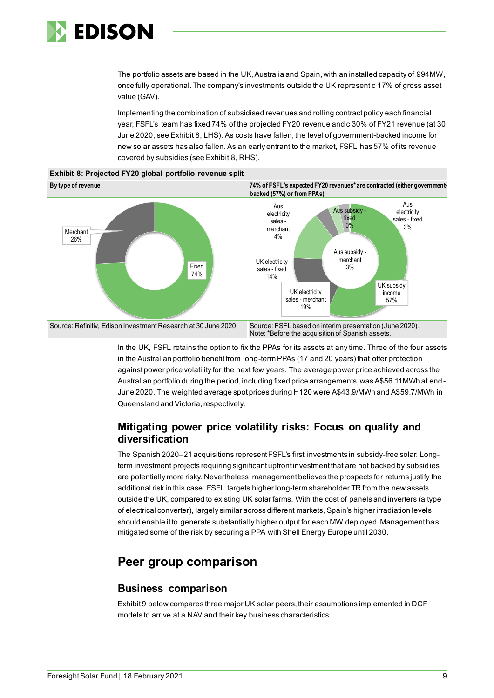

The portfolio assets are based in the UK, Australia and Spain, with an installed capacity of 994MW, once fully operational. The company's investments outside the UK represent c 17% of gross asset value (GAV).

Implementing the combination of subsidised revenues and rolling contract policy each financial year, FSFL's team has fixed 74% of the projected FY20 revenue and c 30% of FY21 revenue (at 30 June 2020, see Exhibit 8, LHS). As costs have fallen, the level of government-backed income for new solar assets has also fallen. As an early entrant to the market, FSFL has 57% of its revenue covered by subsidies (see Exhibit 8, RHS).



**Exhibit 8: Projected FY20 global portfolio revenue split**

In the UK, FSFL retains the option to fix the PPAs for its assets at any time. Three of the four assets in the Australian portfolio benefit from long-term PPAs (17 and 20 years) that offer protection against power price volatility for the next few years. The average power price achieved across the Australian portfolio during the period, including fixed price arrangements, was A\$56.11MWh at end - June 2020. The weighted average spot prices during H120 were A\$43.9/MWh and A\$59.7/MWh in Queensland and Victoria, respectively.

### **Mitigating power price volatility risks: Focus on quality and diversification**

The Spanish 2020–21 acquisitions represent FSFL's first investments in subsidy-free solar. Longterm investment projects requiring significant upfront investment that are not backed by subsidies are potentially more risky. Nevertheless, management believes the prospects for returns justify the additional risk in this case. FSFL targets higher long-term shareholder TR from the new assets outside the UK, compared to existing UK solar farms. With the cost of panels and inverters (a type of electrical converter), largely similar across different markets, Spain's higher irradiation levels should enable it to generate substantially higher output for each MW deployed. Management has mitigated some of the risk by securing a PPA with Shell Energy Europe until 2030.

### **Peer group comparison**

### **Business comparison**

Exhibit 9 below compares three major UK solar peers, their assumptions implemented in DCF models to arrive at a NAV and their key business characteristics.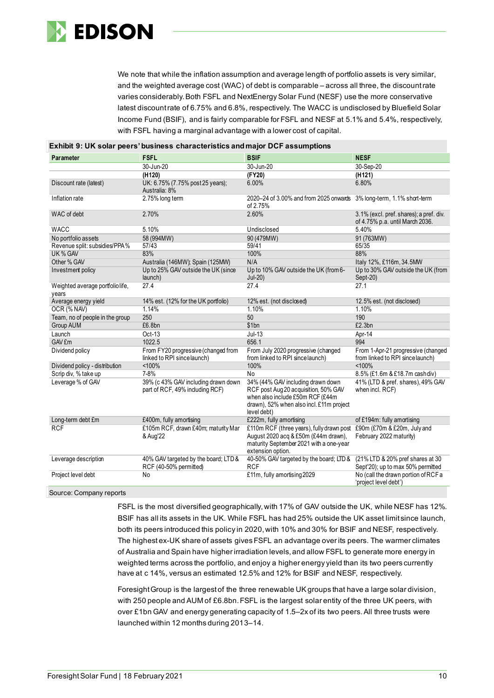

We note that while the inflation assumption and average length of portfolio assets is very similar, and the weighted average cost (WAC) of debt is comparable – across all three, the discount rate varies considerably. Both FSFL and NextEnergy Solar Fund (NESF) use the more conservative latest discount rate of 6.75% and 6.8%, respectively. The WACC is undisclosed by Bluefield Solar Income Fund (BSIF), and is fairly comparable for FSFL and NESF at 5.1% and 5.4%, respectively, with FSFL having a marginal advantage with a lower cost of capital.

|                                          | <b>Exhibit 9: UK solar peers' business characteristics and major DCF assumptions</b> |                                                                                                                                                                               |                                                                            |
|------------------------------------------|--------------------------------------------------------------------------------------|-------------------------------------------------------------------------------------------------------------------------------------------------------------------------------|----------------------------------------------------------------------------|
| Parameter                                | <b>FSFL</b>                                                                          | <b>BSIF</b>                                                                                                                                                                   | <b>NESF</b>                                                                |
|                                          | 30-Jun-20                                                                            | 30-Jun-20                                                                                                                                                                     | 30-Sep-20                                                                  |
|                                          | (H <sub>120</sub> )                                                                  | (FY20)                                                                                                                                                                        | (H121)                                                                     |
| Discount rate (latest)                   | UK: 6.75% (7.75% post 25 years);<br>Australia: 8%                                    | 6.00%                                                                                                                                                                         | 6.80%                                                                      |
| Inflation rate                           | 2.75% long term                                                                      | 2020-24 of 3.00% and from 2025 onwards 3% long-term, 1.1% short-term<br>of 2.75%                                                                                              |                                                                            |
| WAC of debt                              | 2.70%                                                                                | 2.60%                                                                                                                                                                         | 3.1% (excl. pref. shares); a pref. div.<br>of 4.75% p.a. until March 2036. |
| <b>WACC</b>                              | 5.10%                                                                                | Undisclosed                                                                                                                                                                   | 5.40%                                                                      |
| No portfolio assets                      | 58 (994MW)                                                                           | 90 (479MW)                                                                                                                                                                    | 91 (763MW)                                                                 |
| Revenue split: subsidies/PPA%            | 57/43                                                                                | 59/41                                                                                                                                                                         | 65/35                                                                      |
| UK % GAV                                 | 83%                                                                                  | 100%                                                                                                                                                                          | 88%                                                                        |
| Other % GAV                              | Australia (146MW); Spain (125MW)                                                     | N/A                                                                                                                                                                           | Italy 12%, £116m, 34.5MW                                                   |
| Investment policy                        | Up to 25% GAV outside the UK (since<br>launch)                                       | Up to 10% GAV outside the UK (from 6-<br>$Jul-20)$                                                                                                                            | Up to 30% GAV outside the UK (from<br>Sept-20)                             |
| Weighted average portfoliolife,<br>vears | 27.4                                                                                 | 27.4                                                                                                                                                                          | 27.1                                                                       |
| Average energy yield                     | 14% est. (12% for the UK portfolio)                                                  | 12% est. (not disclosed)                                                                                                                                                      | 12.5% est. (not disclosed)                                                 |
| OCR (% NAV)                              | 1.14%                                                                                | 1.10%                                                                                                                                                                         | 1.10%                                                                      |
| Team, no of people in the group          | 250                                                                                  | 50                                                                                                                                                                            | 190                                                                        |
| Group AUM                                | £6.8bn                                                                               | \$1bn                                                                                                                                                                         | £2.3bn                                                                     |
| Launch                                   | Oct-13                                                                               | $Jul-13$                                                                                                                                                                      | Apr-14                                                                     |
| GAV £m                                   | 1022.5                                                                               | 656.1                                                                                                                                                                         | 994                                                                        |
| Dividend policy                          | From FY20 progressive (changed from<br>linked to RPI sincelaunch)                    | From July 2020 progressive (changed<br>from linked to RPI since launch)                                                                                                       | From 1-Apr-21 progressive (changed<br>from linked to RPI since launch)     |
| Dividend policy - distribution           | < 100%                                                                               | 100%                                                                                                                                                                          | < 100%                                                                     |
| Scrip div, % take up                     | 7-8%                                                                                 | <b>No</b>                                                                                                                                                                     | 8.5% (£1.6m & £18.7m cashdiv)                                              |
| Leverage % of GAV                        | 39% (c 43% GAV including drawn down<br>part of RCF, 49% including RCF)               | 34% (44% GAV including drawn down<br>RCF post Aug 20 acquisition, 50% GAV<br>when also include £50m RCF (£44m<br>drawn), 52% when also incl. £11m project<br>level debt)      | 41% (LTD & pref. shares), 49% GAV<br>when incl. RCF)                       |
| Long-term debt £m                        | £400m, fully amortising                                                              | £222m, fully amortising                                                                                                                                                       | of £194m: fully amortising                                                 |
| <b>RCF</b>                               | £105m RCF, drawn £40m; maturity Mar<br>& Aug'22                                      | £110m RCF (three years), fully drawn post £90m (£70m & £20m, July and<br>August 2020 acg & £50m (£44m drawn).<br>maturity September 2021 with a one-year<br>extension option. | February 2022 maturity)                                                    |
| Leverage description                     | 40% GAV targeted by the board; LTD &<br>RCF (40-50% permitted)                       | 40-50% GAV targeted by the board; LTD &<br><b>RCF</b>                                                                                                                         | (21% LTD & 20% pref shares at 30<br>Sept'20); up to max 50% permitted      |
| Project level debt                       | No                                                                                   | £11m, fully amortising 2029                                                                                                                                                   | No (call the drawn portion of RCF a<br>'project level debt')               |

Source: Company reports

FSFL is the most diversified geographically, with 17% of GAV outside the UK, while NESF has 12%. BSIF has all its assets in the UK. While FSFL has had 25% outside the UK asset limit since launch, both its peers introduced this policy in 2020, with 10% and 30% for BSIF and NESF, respectively. The highest ex-UK share of assets gives FSFL an advantage over its peers. The warmer climates of Australia and Spain have higher irradiation levels, and allow FSFL to generate more energy in weighted terms across the portfolio, and enjoy a higher energy yield than its two peers currently have at c 14%, versus an estimated 12.5% and 12% for BSIF and NESF, respectively.

Foresight Group is the largest of the three renewable UK groups that have a large solar division, with 250 people and AUM of £6.8bn. FSFL is the largest solar entity of the three UK peers, with over £1bn GAV and energy generating capacity of 1.5–2x of its two peers. All three trusts were launched within 12 months during 2013–14.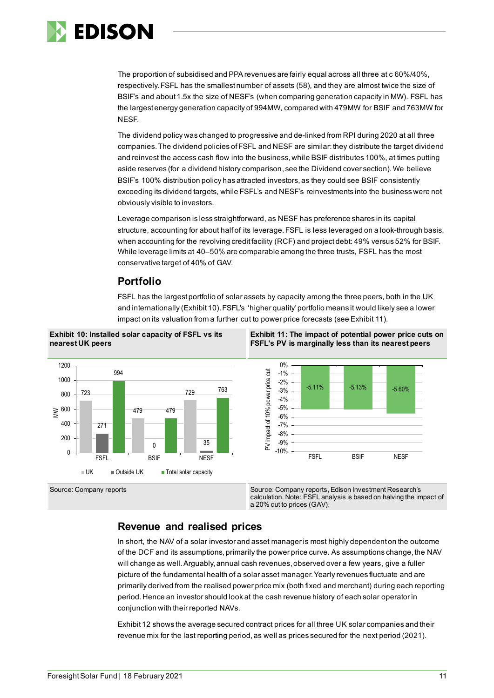

The proportion of subsidised and PPA revenues are fairly equal across all three at c 60%/40%, respectively. FSFL has the smallest number of assets (58), and they are almost twice the size of BSIF's and about 1.5x the size of NESF's (when comparing generation capacity in MW). FSFL has the largest energy generation capacity of 994MW, compared with 479MW for BSIF and 763MW for NESF.

The dividend policy was changed to progressive and de-linked from RPI during 2020 at all three companies. The dividend policies of FSFL and NESF are similar: they distribute the target dividend and reinvest the access cash flow into the business, while BSIF distributes 100%, at times putting aside reserves (for a dividend history comparison, see the Dividend cover section).We believe BSIF's 100% distribution policy has attracted investors, as they could see BSIF consistently exceeding its dividend targets, while FSFL's and NESF's reinvestments into the business were not obviously visible to investors.

Leverage comparison is less straightforward, as NESF has preference shares in its capital structure, accounting for about half of its leverage. FSFL is less leveraged on a look-through basis, when accounting for the revolving credit facility (RCF) and project debt: 49% versus 52% for BSIF. While leverage limits at 40–50% are comparable among the three trusts, FSFL has the most conservative target of 40% of GAV.

### **Portfolio**

FSFL has the largest portfolio of solar assets by capacity among the three peers, both in the UK and internationally (Exhibit 10). FSFL's 'higher quality' portfolio means it would likely see a lower impact on its valuation from a further cut to power price forecasts (see Exhibit 11).





**Exhibit 11: The impact of potential power price cuts on FSFL's PV is marginally less than its nearest peers**



Source: Company reports Source: Company reports, Edison Investment Research's calculation. Note: FSFL analysis is based on halving the impact of a 20% cut to prices (GAV).

### **Revenue and realised prices**

In short, the NAV of a solar investor and asset manager is most highly dependent on the outcome of the DCF and its assumptions, primarily the power price curve. As assumptions change, the NAV will change as well. Arguably, annual cash revenues, observed over a few years, give a fuller picture of the fundamental health of a solar asset manager. Yearly revenues fluctuate and are primarily derived from the realised power price mix (both fixed and merchant) during each reporting period. Hence an investor should look at the cash revenue history of each solar operator in conjunction with their reported NAVs.

Exhibit 12 shows the average secured contract prices for all three UK solar companies and their revenue mix for the last reporting period, as well as prices secured for the next period (2021).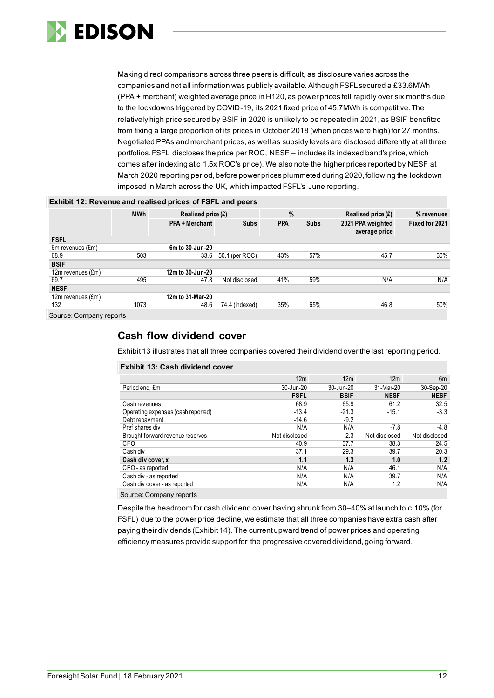

Making direct comparisons across three peers is difficult, as disclosure varies across the companies and not all information was publicly available. Although FSFL secured a £33.6MWh (PPA + merchant) weighted average price in H120, as power prices fell rapidly over six months due to the lockdowns triggered by COVID-19, its 2021 fixed price of 45.7MWh is competitive. The relatively high price secured by BSIF in 2020 is unlikely to be repeated in 2021, as BSIF benefited from fixing a large proportion of its prices in October 2018 (when prices were high) for 27 months. Negotiated PPAs and merchant prices, as well as subsidy levels are disclosed differently at all three portfolios. FSFL discloses the price per ROC, NESF – includes its indexed band's price, which comes after indexing at c 1.5x ROC's price). We also note the higher prices reported by NESF at March 2020 reporting period, before power prices plummeted during 2020, following the lockdown imposed in March across the UK, which impacted FSFL's June reporting.

| <b>Exhibit 12: Revenue and realised prices of FSFL and peers</b> |            |                                       |                |            |                      |                                    |                |  |  |  |  |
|------------------------------------------------------------------|------------|---------------------------------------|----------------|------------|----------------------|------------------------------------|----------------|--|--|--|--|
|                                                                  | <b>MWh</b> | $\frac{0}{0}$<br>Realised price $(E)$ |                |            | Realised price $(E)$ | % revenues                         |                |  |  |  |  |
|                                                                  |            | PPA + Merchant                        | <b>Subs</b>    | <b>PPA</b> | <b>Subs</b>          | 2021 PPA weighted<br>average price | Fixed for 2021 |  |  |  |  |
| <b>FSFL</b>                                                      |            |                                       |                |            |                      |                                    |                |  |  |  |  |
| 6m revenues (£m)                                                 |            | 6m to 30-Jun-20                       |                |            |                      |                                    |                |  |  |  |  |
| 68.9                                                             | 503        | 33.6                                  | 50.1 (per ROC) | 43%        | 57%                  | 45.7                               | 30%            |  |  |  |  |
| <b>BSIF</b>                                                      |            |                                       |                |            |                      |                                    |                |  |  |  |  |
| 12m revenues (£m)                                                |            | 12m to 30-Jun-20                      |                |            |                      |                                    |                |  |  |  |  |
| 69.7                                                             | 495        | 47.8                                  | Not disclosed  | 41%        | 59%                  | N/A                                | N/A            |  |  |  |  |
| <b>NESF</b>                                                      |            |                                       |                |            |                      |                                    |                |  |  |  |  |
| 12m revenues (£m)                                                |            | 12m to 31-Mar-20                      |                |            |                      |                                    |                |  |  |  |  |
| 132                                                              | 1073       | 48.6                                  | 74.4 (indexed) | 35%        | 65%                  | 46.8                               | 50%            |  |  |  |  |
|                                                                  |            |                                       |                |            |                      |                                    |                |  |  |  |  |

Source: Company reports

### **Cash flow dividend cover**

**Exhibit 13: Cash dividend cover**

Exhibit 13 illustrates that all three companies covered their dividend over the last reporting period.

|                                    | 12m           | 12m         | 12 <sub>m</sub> | 6m            |
|------------------------------------|---------------|-------------|-----------------|---------------|
| Period end, £m                     | 30-Jun-20     | 30-Jun-20   | 31-Mar-20       | 30-Sep-20     |
|                                    | <b>FSFL</b>   | <b>BSIF</b> | <b>NESF</b>     | <b>NESF</b>   |
| Cash revenues                      | 68.9          | 65.9        | 61.2            | 32.5          |
| Operating expenses (cash reported) | $-13.4$       | $-21.3$     | $-15.1$         | $-3.3$        |
| Debt repayment                     | $-14.6$       | $-9.2$      |                 |               |
| Pref shares div                    | N/A           | N/A         | $-7.8$          | $-4.8$        |
| Brought forward revenue reserves   | Not disclosed | 2.3         | Not disclosed   | Not disclosed |
| <b>CFO</b>                         | 40.9          | 37.7        | 38.3            | 24.5          |
| Cash div                           | 37.1          | 29.3        | 39.7            | 20.3          |
| Cash div cover, x                  | 1.1           | 1.3         | 1.0             | 1.2           |
| CFO - as reported                  | N/A           | N/A         | 46.1            | N/A           |
| Cash div - as reported             | N/A           | N/A         | 39.7            | N/A           |
| Cash div cover - as reported       | N/A           | N/A         | 1.2             | N/A           |
| Source: Company reports            |               |             |                 |               |

Despite the headroom for cash dividend cover having shrunk from 30–40% at launch to c 10% (for FSFL) due to the power price decline, we estimate that all three companies have extra cash after paying their dividends (Exhibit 14). The current upward trend of power prices and operating efficiency measures provide support for the progressive covered dividend, going forward.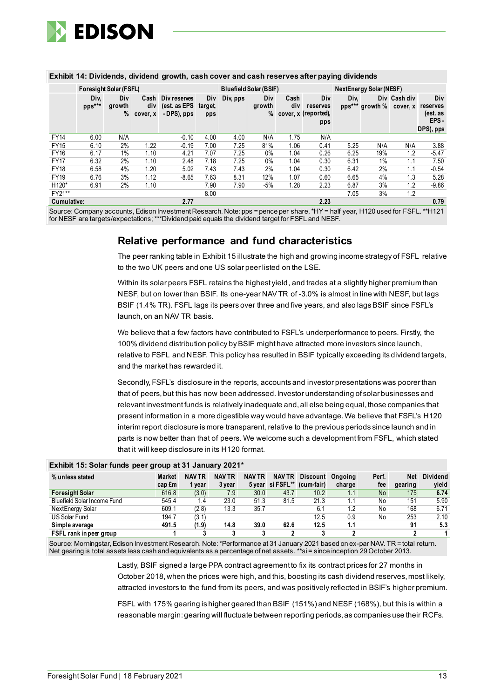

|                    | Foresight Solar (FSFL) |                           |                 |                                                                                                                   |                       |          | Bluefield Solar (BSIF) |             |                                                  |      | <b>NextEnergy Solar (NESF)</b> |                          |                                     |
|--------------------|------------------------|---------------------------|-----------------|-------------------------------------------------------------------------------------------------------------------|-----------------------|----------|------------------------|-------------|--------------------------------------------------|------|--------------------------------|--------------------------|-------------------------------------|
|                    | Div,<br>pps***         | <b>Div</b><br>growth<br>% | div<br>cover, x | Cash Div reserves<br>(est. as EPS<br>- DPS), pps                                                                  | Div<br>target.<br>pps | Div, pps | Div<br>growth          | Cash<br>div | Div<br>reserves<br>% cover, x (reported),<br>pps | Div, | pps*** growth %                | Div Cash div<br>cover, x | Div<br>reserves<br>(est. as<br>EPS- |
|                    |                        |                           |                 |                                                                                                                   |                       |          |                        |             |                                                  |      |                                |                          | DPS), pps                           |
| <b>FY14</b>        | 6.00                   | N/A                       |                 | $-0.10$                                                                                                           | 4.00                  | 4.00     | N/A                    | 1.75        | N/A                                              |      |                                |                          |                                     |
| <b>FY15</b>        | 6.10                   | $2\%$                     | 1.22            | $-0.19$                                                                                                           | 7.00                  | 7.25     | 81%                    | 1.06        | 0.41                                             | 5.25 | N/A                            | N/A                      | 3.88                                |
| <b>FY16</b>        | 6.17                   | 1%                        | 1.10            | 4.21                                                                                                              | 7.07                  | 7.25     | 0%                     | 1.04        | 0.26                                             | 6.25 | 19%                            | 1.2                      | $-5.47$                             |
| <b>FY17</b>        | 6.32                   | 2%                        | 1.10            | 2.48                                                                                                              | 7.18                  | 7.25     | 0%                     | 1.04        | 0.30                                             | 6.31 | $1\%$                          | 1.1                      | 7.50                                |
| <b>FY18</b>        | 6.58                   | 4%                        | 1.20            | 5.02                                                                                                              | 7.43                  | 7.43     | 2%                     | 1.04        | 0.30                                             | 6.42 | 2%                             | 1.1                      | $-0.54$                             |
| <b>FY19</b>        | 6.76                   | 3%                        | 1.12            | $-8.65$                                                                                                           | 7.63                  | 8.31     | 12%                    | 1.07        | 0.60                                             | 6.65 | 4%                             | 1.3                      | 5.28                                |
| H <sub>120</sub> * | 6.91                   | $2\%$                     | 1.10            |                                                                                                                   | 7.90                  | 7.90     | -5%                    | 1.28        | 2.23                                             | 6.87 | 3%                             | 1.2                      | $-9.86$                             |
| FY21**             |                        |                           |                 |                                                                                                                   | 8.00                  |          |                        |             |                                                  | 7.05 | 3%                             | 1.2                      |                                     |
| <b>Cumulative:</b> |                        |                           |                 | 2.77                                                                                                              |                       |          |                        |             | 2.23                                             |      |                                |                          | 0.79                                |
|                    |                        |                           |                 | Courage Company assemble Edison Investment Dessarrh Nataunne = nepes par share *UV = bolf vear U420 used for ECEL |                       |          |                        |             |                                                  |      |                                |                          |                                     |

#### **Exhibit 14: Dividends, dividend growth, cash cover and cash reserves after paying dividends**

Source: Company accounts, Edison Investment Research. Note: pps = pence per share, \*HY = half year, H120 us for NESF are targets/expectations;\*\*\*Dividend paid equals the dividend target for FSFL and NESF.

### **Relative performance and fund characteristics**

The peer ranking table in Exhibit 15 illustrate the high and growing income strategy of FSFL relative to the two UK peers and one US solar peer listed on the LSE.

Within its solar peers FSFL retains the highest yield, and trades at a slightly higher premium than NESF, but on lower than BSIF. Its one-year NAV TR of -3.0% is almost in line with NESF, but lags BSIF (1.4% TR). FSFL lags its peers over three and five years, and also lags BSIF since FSFL's launch, on an NAV TR basis.

We believe that a few factors have contributed to FSFL's underperformance to peers. Firstly, the 100% dividend distribution policy by BSIF might have attracted more investors since launch, relative to FSFL and NESF. This policy has resulted in BSIF typically exceeding its dividend targets, and the market has rewarded it.

Secondly, FSFL's disclosure in the reports, accounts and investor presentations was poorer than that of peers, but this has now been addressed. Investor understanding of solar businesses and relevant investment funds is relatively inadequate and, all else being equal, those companies that present information in a more digestible way would have advantage. We believe that FSFL's H120 interim report disclosure is more transparent, relative to the previous periods since launch and in parts is now better than that of peers. We welcome such a development from FSFL, which stated that it will keep disclosure in its H120 format.

| % unless stated             | <b>Market</b> | <b>NAV TR</b> | <b>NAV TR</b> | <b>NAV TR</b> | <b>NAV TR</b>    | <b>Discount</b> | Onaoina | Perf. | <b>Net</b> | <b>Dividend</b> |
|-----------------------------|---------------|---------------|---------------|---------------|------------------|-----------------|---------|-------|------------|-----------------|
|                             | cap £m        | l vear        | 3 year        |               | 5 year si FSFL** | (cum-fair)      | charge  | fee   | gearing    | vield           |
| <b>Foresight Solar</b>      | 616.8         | (3.0)         | 7.9           | 30.0          | 43.7             | 10.2            | 1.1     | No    | 175        | 6.74            |
| Bluefield Solar Income Fund | 545.4         | 1.4           | 23.0          | 51.3          | 81.5             | 21.3            |         | No    | 151        | 5.90            |
| NextEnergy Solar            | 609.1         | (2.8)         | 13.3          | 35.7          |                  | 6.1             | 1.2     | No    | 168        | 6.71            |
| US Solar Fund               | 194.7         | (3.1)         |               |               |                  | 12.5            | 0.9     | No    | 253        | 2.10            |
| Simple average              | 491.5         | (1.9)         | 14.8          | 39.0          | 62.6             | 12.5            | 1.1     |       | 91         | 5.3             |
| FSFL rank in peer group     |               |               |               |               |                  |                 |         |       |            |                 |

#### **Exhibit 15: Solar funds peer group at 31 January 2021\***

Source: Morningstar, Edison Investment Research. Note: \*Performance at 31 January 2021 based on ex-par NAV. TR = total return. Net gearing is total assets less cash and equivalents as a percentage of net assets. \*\*si= since inception 29 October 2013.

> Lastly, BSIF signed a large PPA contract agreement to fix its contract prices for 27 months in October 2018, when the prices were high, and this, boosting its cash dividend reserves, most likely, attracted investors to the fund from its peers, and was positively reflected in BSIF's higher premium.

> FSFL with 175% gearing is higher geared than BSIF (151%) and NESF (168%), but this is within a reasonable margin: gearing will fluctuate between reporting periods, as companies use their RCFs.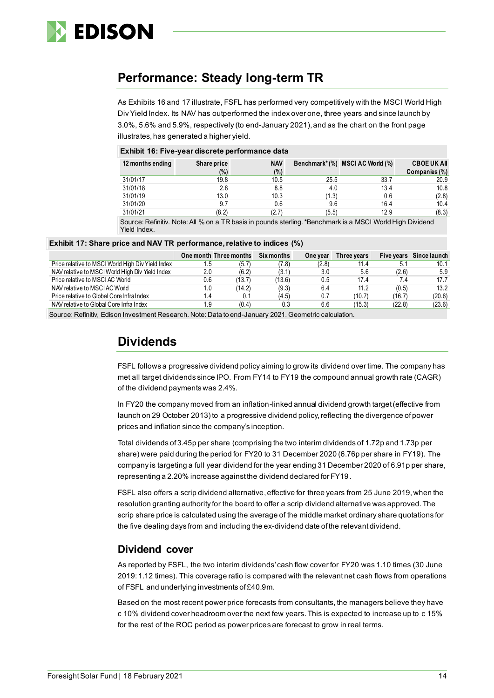

### **Performance: Steady long-term TR**

As Exhibits 16 and 17 illustrate, FSFL has performed very competitively with the MSCI World High Div Yield Index. Its NAV has outperformed the index over one, three years and since launch by 3.0%, 5.6% and 5.9%, respectively (to end-January 2021), and as the chart on the front page illustrates, has generated a higher yield.

#### **Exhibit 16: Five-year discrete performance data**

| 12 months ending | Share price<br>(%) | <b>NAV</b><br>(%) |       | Benchmark*(%) MSCI AC World (%) | <b>CBOE UK AIL</b><br>Companies (%) |
|------------------|--------------------|-------------------|-------|---------------------------------|-------------------------------------|
| 31/01/17         | 19.8               | 10.5              | 25.5  | 33.7                            | 20.9                                |
| 31/01/18         | 2.8                | 8.8               | 4.0   | 13.4                            | 10.8                                |
| 31/01/19         | 13.0               | 10.3              | (1.3) | 0.6                             | (2.8)                               |
| 31/01/20         | 9.7                | 0.6               | 9.6   | 16.4                            | 10.4                                |
| 31/01/21         | (8.2)              | (2.7)             | (5.5) | 12.9                            | (8.3)                               |

Source: Refinitiv. Note: All % on a TR basis in pounds sterling. \*Benchmark is a MSCI World High Dividend Yield Index.

#### **Exhibit 17: Share price and NAV TR performance, relative to indices (%)**

|                                                   |     | One month Three months | Six months | One year | Three years |        | Five years Since launch |
|---------------------------------------------------|-----|------------------------|------------|----------|-------------|--------|-------------------------|
| Price relative to MSCI World High Div Yield Index |     | (5.7                   | (7.8)      | (2.8)    | 11.4        | 5.1    | 10.1                    |
| NAV relative to MSCI World High Div Yield Index   | 2.0 | (6.2)                  | (3.1)      | 3.0      | 5.6         | (2.6)  | 5.9                     |
| Price relative to MSCI AC World                   | 0.6 | (13.7)                 | (13.6)     | 0.5      | 17.4        | 7.4    | 17.7                    |
| NAV relative to MSCIAC World                      |     | (14.2)                 | (9.3)      | 6.4      | 11.2        | (0.5)  | 13.2                    |
| Price relative to Global Core Infra Index         |     |                        | (4.5)      | 0.7      | (10.7)      | (16.7) | (20.6)                  |
| NAV relative to Global Core Infra Index           | .9  | (0.4)                  | 0.3        | 6.6      | (15.3)      | (22.8) | (23.6)                  |

Source: Refinitiv, Edison Investment Research. Note: Data to end-January 2021. Geometric calculation.

### **Dividends**

FSFL follows a progressive dividend policy aiming to grow its dividend over time. The company has met all target dividends since IPO. From FY14 to FY19 the compound annual growth rate (CAGR) of the dividend payments was 2.4%.

In FY20 the company moved from an inflation-linked annual dividend growth target (effective from launch on 29 October 2013) to a progressive dividend policy, reflecting the divergence of power prices and inflation since the company's inception.

Total dividends of 3.45p per share (comprising the two interim dividends of 1.72p and 1.73p per share) were paid during the period for FY20 to 31 December 2020 (6.76p per share in FY19). The company is targeting a full year dividend for the year ending 31 December 2020 of 6.91p per share, representing a 2.20% increase against the dividend declared for FY19.

FSFL also offers a scrip dividend alternative, effective for three years from 25 June 2019, when the resolution granting authority for the board to offer a scrip dividend alternative was approved. The scrip share price is calculated using the average of the middle market ordinary share quotations for the five dealing days from and including the ex-dividend date of the relevant dividend.

### **Dividend cover**

As reported by FSFL, the two interim dividends' cash flow cover for FY20 was 1.10 times (30 June 2019: 1.12 times). This coverage ratio is compared with the relevant net cash flows from operations of FSFL and underlying investments of £40.9m.

Based on the most recent power price forecasts from consultants, the managers believe they have c 10% dividend cover headroom over the next few years. This is expected to increase up to c 15% for the rest of the ROC period as power prices are forecast to grow in real terms.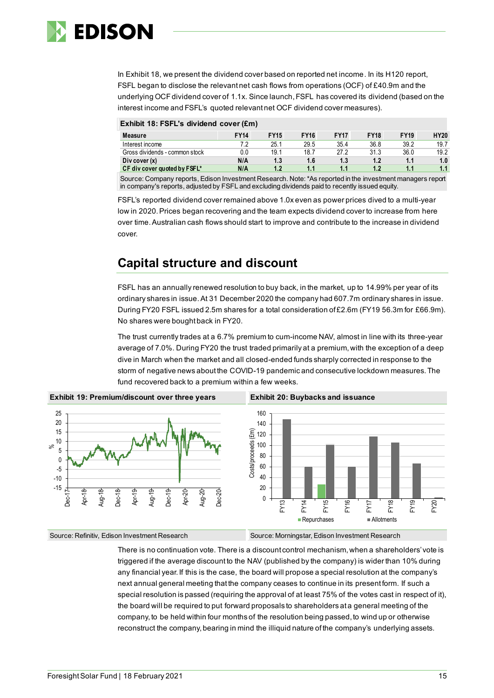

In Exhibit 18, we present the dividend cover based on reported net income. In its H120 report, FSFL began to disclose the relevant net cash flows from operations (OCF) of £40.9m and the underlying OCF dividend cover of 1.1x. Since launch,FSFL has covered its dividend (based on the interest income and FSFL's quoted relevant net OCF dividend cover measures).

| Exhibit 18: FSFL's dividend cover (£m) |             |             |             |             |             |             |             |  |  |
|----------------------------------------|-------------|-------------|-------------|-------------|-------------|-------------|-------------|--|--|
| Measure                                | <b>FY14</b> | <b>FY15</b> | <b>FY16</b> | <b>FY17</b> | <b>FY18</b> | <b>FY19</b> | <b>HY20</b> |  |  |
| Interest income                        | 7.2         | 25.1        | 29.5        | 35.4        | 36.8        | 39.2        | 19.7        |  |  |
| Gross dividends - common stock         | 0.0         | 19.1        | 18.7        | 27.2        | 31.3        | 36.0        | 19.2        |  |  |
| Div cover $(x)$                        | N/A         | 1.3         | 1.6         | 1.3         | 1.2         | 1.1         | 1.0         |  |  |
| CF div cover quoted by FSFL*           | N/A         | 1.2         | 1.1         | 1.1         | 1.2         | 1.1         | 1.1         |  |  |

Source: Company reports, Edison Investment Research. Note:\*As reported in the investment managers report in company's reports, adjusted by FSFL and excluding dividends paid to recently issued equity.

FSFL's reported dividend cover remained above 1.0x even as power prices dived to a multi-year low in 2020. Prices began recovering and the team expects dividend cover to increase from here over time. Australian cash flows should start to improve and contribute to the increase in dividend cover.

### **Capital structure and discount**

FSFL has an annually renewed resolution to buy back, in the market, up to 14.99% per year of its ordinary shares in issue.At 31 December 2020 the company had 607.7m ordinary shares in issue. During FY20 FSFL issued 2.5m shares for a total consideration of £2.6m (FY19 56.3m for £66.9m). No shares were bought back in FY20.

The trust currently trades at a 6.7% premium to cum-income NAV, almost in line with its three-year average of 7.0%. During FY20 the trust traded primarily at a premium, with the exception of a deep dive in March when the market and all closed-ended funds sharply corrected in response to the storm of negative news about the COVID-19 pandemic and consecutive lockdown measures. The fund recovered back to a premium within a few weeks.



Source: Refinitiv, Edison Investment Research Source: Morningstar, Edison Investment Research

There is no continuation vote. There is a discount control mechanism, when a shareholders' vote is triggered if the average discount to the NAV (published by the company) is wider than 10% during any financial year. If this is the case, the board will propose a special resolution at the company's next annual general meeting that the company ceases to continue in its present form. If such a special resolution is passed (requiring the approval of at least 75% of the votes cast in respect of it), the board will be required to put forward proposals to shareholders at a general meeting of the company, to be held within four months of the resolution being passed, to wind up or otherwise reconstruct the company, bearing in mind the illiquid nature of the company's underlying assets.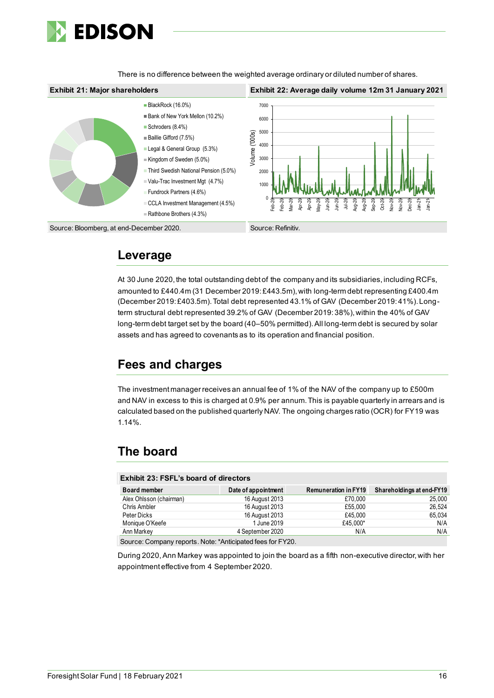

There is no difference between the weighted average ordinary or diluted number of shares.

#### **Exhibit 21: Major shareholders Exhibit 22: Average daily volume 12m 31 January 2021** BlackRock (16.0%) 7000 Bank of New York Mellon (10.2%) 6000 Schroders (8.4%) 5000 /olume ('000s) Volume ('000s)Baillie Gifford (7.5%) 4000 Legal & General Group (5.3%) 3000 Kingdom of Sweden (5.0%) Third Swedish National Pension (5.0%) 2000 Valu-Trac Investment Mgt (4.7%) 1000 Fundrock Partners (4.6%) 0 CCLA Investment Management (4.5%) Aug-20 Sep-20 Oct-20 Feb-20 Feb-20 Mar-20 Apr-20 Apr-20 May-20 Jun-20 Jun-20 Jul-20 Aug-20 Nov-20 Dec-20  $Jan-2$ <sup>-</sup>  $Jan-2$ Nov-2 Rathbone Brothers (4.3%) Source: Bloomberg, at end-December 2020.

### **Leverage**

At 30 June 2020, the total outstanding debt of the company and its subsidiaries, including RCFs, amounted to £440.4m (31 December 2019: £443.5m), with long-term debt representing £400.4m (December 2019: £403.5m). Total debt represented 43.1% of GAV (December 2019: 41%). Longterm structural debt represented 39.2% of GAV (December 2019: 38%), within the 40% of GAV long-term debt target set by the board (40–50% permitted).All long-term debt is secured by solar assets and has agreed to covenants as to its operation and financial position.

## **Fees and charges**

The investment manager receives an annual fee of 1% of the NAV of the company up to £500m and NAV in excess to this is charged at 0.9% per annum. This is payable quarterly in arrears and is calculated based on the published quarterly NAV. The ongoing charges ratio (OCR) for FY19 was 1.14%.

## **The board**

| <b>Exhibit 23: FSFL's board of directors</b> |                     |                             |                           |  |  |  |  |  |  |  |
|----------------------------------------------|---------------------|-----------------------------|---------------------------|--|--|--|--|--|--|--|
| <b>Board member</b>                          | Date of appointment | <b>Remuneration in FY19</b> | Shareholdings at end-FY19 |  |  |  |  |  |  |  |
| Alex Ohlsson (chairman)                      | 16 August 2013      | £70.000                     | 25,000                    |  |  |  |  |  |  |  |
| Chris Ambler                                 | 16 August 2013      | £55,000                     | 26.524                    |  |  |  |  |  |  |  |
| Peter Dicks                                  | 16 August 2013      | £45,000                     | 65.034                    |  |  |  |  |  |  |  |
| Monique O'Keefe                              | 1 June 2019         | £45.000*                    | N/A                       |  |  |  |  |  |  |  |
| Ann Markey                                   | 4 September 2020    | N/A                         | N/A                       |  |  |  |  |  |  |  |
|                                              |                     |                             |                           |  |  |  |  |  |  |  |

Source: Company reports. Note: \*Anticipated fees for FY20.

During 2020,Ann Markey was appointed to join the board as a fifth non-executive director, with her appointment effective from 4 September 2020.